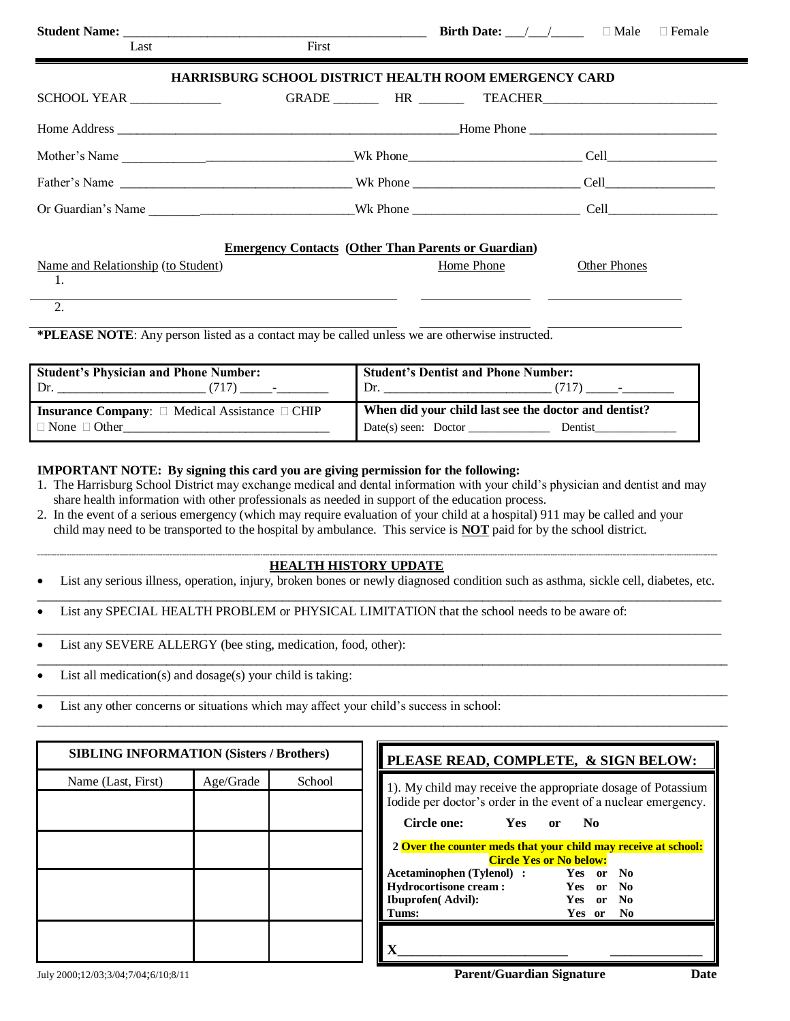| Last                                     | First                                                      |            | <b>Birth Date:</b> $\qquad$ / $\qquad$ $\Box$ Male $\Box$ Female |
|------------------------------------------|------------------------------------------------------------|------------|------------------------------------------------------------------|
|                                          |                                                            |            |                                                                  |
|                                          | HARRISBURG SCHOOL DISTRICT HEALTH ROOM EMERGENCY CARD      |            |                                                                  |
|                                          |                                                            |            |                                                                  |
|                                          |                                                            |            |                                                                  |
|                                          |                                                            |            |                                                                  |
|                                          |                                                            |            |                                                                  |
|                                          |                                                            |            |                                                                  |
|                                          | <b>Emergency Contacts (Other Than Parents or Guardian)</b> |            |                                                                  |
| Name and Relationship (to Student)<br>1. |                                                            | Home Phone | <b>Other Phones</b>                                              |
| 2.                                       |                                                            |            |                                                                  |

**\*PLEASE NOTE**: Any person listed as a contact may be called unless we are otherwise instructed.

| <b>Student's Physician and Phone Number:</b>                                                | <b>Student's Dentist and Phone Number:</b>                                                  |
|---------------------------------------------------------------------------------------------|---------------------------------------------------------------------------------------------|
| Dr.                                                                                         | Dr.                                                                                         |
| $(717)$ -                                                                                   | $(717)$ -                                                                                   |
| <b>Insurance Company:</b> $\Box$ Medical Assistance $\Box$ CHIP<br>$\Box$ None $\Box$ Other | When did your child last see the doctor and dentist?<br>$Date(s)$ seen: $Doctor$<br>Dentist |

## **IMPORTANT NOTE: By signing this card you are giving permission for the following:**

- 1. The Harrisburg School District may exchange medical and dental information with your child's physician and dentist and may share health information with other professionals as needed in support of the education process.
- 2. In the event of a serious emergency (which may require evaluation of your child at a hospital) 911 may be called and your child may need to be transported to the hospital by ambulance. This service is **NOT** paid for by the school district.

## **------------------------------------------------------------------------------------------------------------------------------------------------------------------------------------------------------------------------------------------------------------------------------------------------------------------------------------------------------------------------------------------------------------ HEALTH HISTORY UPDATE**

 List any serious illness, operation, injury, broken bones or newly diagnosed condition such as asthma, sickle cell, diabetes, etc. \_\_\_\_\_\_\_\_\_\_\_\_\_\_\_\_\_\_\_\_\_\_\_\_\_\_\_\_\_\_\_\_\_\_\_\_\_\_\_\_\_\_\_\_\_\_\_\_\_\_\_\_\_\_\_\_\_\_\_\_\_\_\_\_\_\_\_\_\_\_\_\_\_\_\_\_\_\_\_\_\_\_\_\_\_\_\_\_\_\_\_\_\_\_\_\_\_\_\_\_\_\_\_\_\_\_

\_\_\_\_\_\_\_\_\_\_\_\_\_\_\_\_\_\_\_\_\_\_\_\_\_\_\_\_\_\_\_\_\_\_\_\_\_\_\_\_\_\_\_\_\_\_\_\_\_\_\_\_\_\_\_\_\_\_\_\_\_\_\_\_\_\_\_\_\_\_\_\_\_\_\_\_\_\_\_\_\_\_\_\_\_\_\_\_\_\_\_\_\_\_\_\_\_\_\_\_\_\_\_\_\_\_

- List any SPECIAL HEALTH PROBLEM or PHYSICAL LIMITATION that the school needs to be aware of:
- List any SEVERE ALLERGY (bee sting, medication, food, other): \_\_\_\_\_\_\_\_\_\_\_\_\_\_\_\_\_\_\_\_\_\_\_\_\_\_\_\_\_\_\_\_\_\_\_\_\_\_\_\_\_\_\_\_\_\_\_\_\_\_\_\_\_\_\_\_\_\_\_\_\_\_\_\_\_\_\_\_\_\_\_\_\_\_\_\_\_\_\_\_\_\_\_\_\_\_\_\_\_\_\_\_\_\_\_\_\_\_\_\_\_\_\_\_\_\_\_
- List all medication(s) and dosage(s) your child is taking: \_\_\_\_\_\_\_\_\_\_\_\_\_\_\_\_\_\_\_\_\_\_\_\_\_\_\_\_\_\_\_\_\_\_\_\_\_\_\_\_\_\_\_\_\_\_\_\_\_\_\_\_\_\_\_\_\_\_\_\_\_\_\_\_\_\_\_\_\_\_\_\_\_\_\_\_\_\_\_\_\_\_\_\_\_\_\_\_\_\_\_\_\_\_\_\_\_\_\_\_\_\_\_\_\_\_\_
- List any other concerns or situations which may affect your child's success in school: \_\_\_\_\_\_\_\_\_\_\_\_\_\_\_\_\_\_\_\_\_\_\_\_\_\_\_\_\_\_\_\_\_\_\_\_\_\_\_\_\_\_\_\_\_\_\_\_\_\_\_\_\_\_\_\_\_\_\_\_\_\_\_\_\_\_\_\_\_\_\_\_\_\_\_\_\_\_\_\_\_\_\_\_\_\_\_\_\_\_\_\_\_\_\_\_\_\_\_\_\_\_\_\_\_\_\_

| <b>SIBLING INFORMATION (Sisters / Brothers)</b> |           |        | PLEASE READ, COMPLETE, & SIGN BELOW:                                                                                        |
|-------------------------------------------------|-----------|--------|-----------------------------------------------------------------------------------------------------------------------------|
| Name (Last, First)                              | Age/Grade | School | 1). My child may receive the appropriate dosage of Potassiu<br>Iodide per doctor's order in the event of a nuclear emergenc |
|                                                 |           |        | Circle one:<br>Yes<br>- No<br>or                                                                                            |
|                                                 |           |        | 2 Over the counter meds that your child may receive at school<br><b>Circle Yes or No below:</b>                             |
|                                                 |           |        | Acetaminophen (Tylenol) : Yes or No<br>Hydrocortisone cream: Yes or No                                                      |
|                                                 |           |        | <b>Ibuprofen(Advil):</b><br>Yes or No                                                                                       |
|                                                 |           |        | Tums:<br>Yes or No                                                                                                          |
|                                                 |           |        | X                                                                                                                           |

| PLEASE READ, COMPLETE, & SIGN BELOW:                                                                                           |            |               |                |                |
|--------------------------------------------------------------------------------------------------------------------------------|------------|---------------|----------------|----------------|
| 1). My child may receive the appropriate dosage of Potassium<br>Iodide per doctor's order in the event of a nuclear emergency. |            |               |                |                |
| Circle one:                                                                                                                    | <b>Yes</b> | 0r            | N <sub>0</sub> |                |
| 2 Over the counter meds that your child may receive at school:                                                                 |            |               |                |                |
| <b>Circle Yes or No below:</b>                                                                                                 |            |               |                |                |
| <b>Acetaminophen (Tylenol) :</b>                                                                                               |            | Yes           | or             | - No           |
| <b>Hydrocortisone cream:</b>                                                                                                   | Yes        | <sub>or</sub> | No.            |                |
| <b>Ibuprofen</b> (Advil):                                                                                                      | Yes or     |               | - No           |                |
| Tums:                                                                                                                          |            | Yes or        |                | N <sub>0</sub> |
|                                                                                                                                |            |               |                |                |
|                                                                                                                                |            |               |                |                |